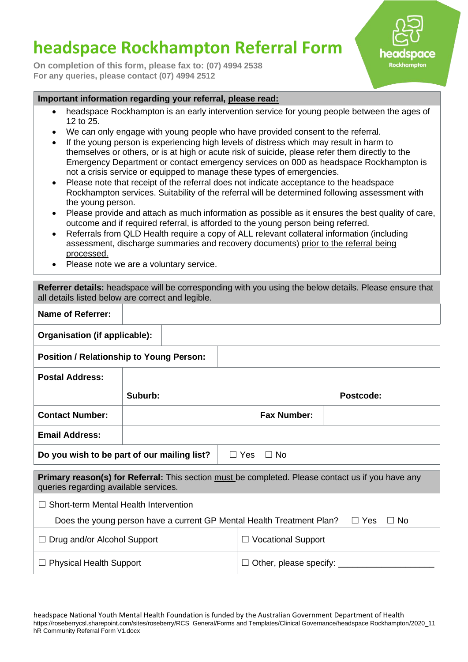## **headspace Rockhampton Referral Form**

**On completion of this form, please fax to: (07) 4994 2538 For any queries, please contact (07) 4994 2512**



## **Important information regarding your referral, please read:**

- headspace Rockhampton is an early intervention service for young people between the ages of 12 to 25.
- We can only engage with young people who have provided consent to the referral.
- If the young person is experiencing high levels of distress which may result in harm to themselves or others, or is at high or acute risk of suicide, please refer them directly to the Emergency Department or contact emergency services on 000 as headspace Rockhampton is not a crisis service or equipped to manage these types of emergencies.
- Please note that receipt of the referral does not indicate acceptance to the headspace Rockhampton services. Suitability of the referral will be determined following assessment with the young person.
- Please provide and attach as much information as possible as it ensures the best quality of care, outcome and if required referral, is afforded to the young person being referred.
- Referrals from QLD Health require a copy of ALL relevant collateral information (including assessment, discharge summaries and recovery documents) prior to the referral being processed.
- Please note we are a voluntary service.

| Referrer details: headspace will be corresponding with you using the below details. Please ensure that<br>all details listed below are correct and legible. |                      |                           |  |  |  |
|-------------------------------------------------------------------------------------------------------------------------------------------------------------|----------------------|---------------------------|--|--|--|
| <b>Name of Referrer:</b>                                                                                                                                    |                      |                           |  |  |  |
| Organisation (if applicable):                                                                                                                               |                      |                           |  |  |  |
| <b>Position / Relationship to Young Person:</b>                                                                                                             |                      |                           |  |  |  |
| <b>Postal Address:</b>                                                                                                                                      |                      |                           |  |  |  |
|                                                                                                                                                             | Suburb:<br>Postcode: |                           |  |  |  |
| <b>Contact Number:</b>                                                                                                                                      |                      | <b>Fax Number:</b>        |  |  |  |
| <b>Email Address:</b>                                                                                                                                       |                      |                           |  |  |  |
| Do you wish to be part of our mailing list?<br>$\Box$ Yes<br>$\Box$ No                                                                                      |                      |                           |  |  |  |
| Primary reason(s) for Referral: This section must be completed. Please contact us if you have any<br>queries regarding available services.                  |                      |                           |  |  |  |
| Short-term Mental Health Intervention                                                                                                                       |                      |                           |  |  |  |
| Does the young person have a current GP Mental Health Treatment Plan?<br>$\Box$ Yes<br>$\Box$ No                                                            |                      |                           |  |  |  |
| $\Box$ Drug and/or Alcohol Support                                                                                                                          |                      | $\Box$ Vocational Support |  |  |  |
| Other, please specify:<br>$\Box$ Physical Health Support                                                                                                    |                      |                           |  |  |  |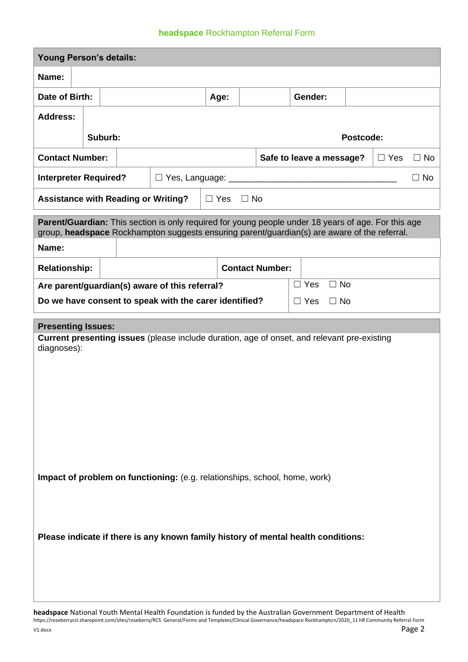## **headspace** Rockhampton Referral Form

| <b>Young Person's details:</b>                                                                     |                                                                                              |                                                                           |                                                     |                                                                                                     |      |                        |  |            |           |  |  |
|----------------------------------------------------------------------------------------------------|----------------------------------------------------------------------------------------------|---------------------------------------------------------------------------|-----------------------------------------------------|-----------------------------------------------------------------------------------------------------|------|------------------------|--|------------|-----------|--|--|
| Name:                                                                                              |                                                                                              |                                                                           |                                                     |                                                                                                     |      |                        |  |            |           |  |  |
| Date of Birth:                                                                                     |                                                                                              |                                                                           |                                                     |                                                                                                     | Age: |                        |  | Gender:    |           |  |  |
| <b>Address:</b>                                                                                    |                                                                                              |                                                                           |                                                     |                                                                                                     |      |                        |  |            |           |  |  |
|                                                                                                    |                                                                                              | Suburb:                                                                   |                                                     |                                                                                                     |      |                        |  |            | Postcode: |  |  |
| <b>Contact Number:</b>                                                                             |                                                                                              |                                                                           | Safe to leave a message?<br>$\Box$ Yes<br>$\Box$ No |                                                                                                     |      |                        |  |            |           |  |  |
|                                                                                                    |                                                                                              | <b>Interpreter Required?</b><br>$\Box$ No<br>$\Box$ Yes, Language: $\_\_$ |                                                     |                                                                                                     |      |                        |  |            |           |  |  |
| <b>Assistance with Reading or Writing?</b><br>$\Box$ Yes $\Box$ No                                 |                                                                                              |                                                                           |                                                     |                                                                                                     |      |                        |  |            |           |  |  |
|                                                                                                    |                                                                                              |                                                                           |                                                     | Parent/Guardian: This section is only required for young people under 18 years of age. For this age |      |                        |  |            |           |  |  |
| Name:                                                                                              | group, headspace Rockhampton suggests ensuring parent/guardian(s) are aware of the referral. |                                                                           |                                                     |                                                                                                     |      |                        |  |            |           |  |  |
| <b>Relationship:</b>                                                                               |                                                                                              |                                                                           |                                                     |                                                                                                     |      | <b>Contact Number:</b> |  |            |           |  |  |
| $\Box$ No<br>$\Box$ Yes<br>Are parent/guardian(s) aware of this referral?                          |                                                                                              |                                                                           |                                                     |                                                                                                     |      |                        |  |            |           |  |  |
|                                                                                                    |                                                                                              |                                                                           |                                                     | Do we have consent to speak with the carer identified?                                              |      |                        |  | $\Box$ Yes | $\Box$ No |  |  |
| <b>Presenting Issues:</b>                                                                          |                                                                                              |                                                                           |                                                     |                                                                                                     |      |                        |  |            |           |  |  |
| <b>Current presenting issues</b> (please include duration, age of onset, and relevant pre-existing |                                                                                              |                                                                           |                                                     |                                                                                                     |      |                        |  |            |           |  |  |
| diagnoses):                                                                                        |                                                                                              |                                                                           |                                                     |                                                                                                     |      |                        |  |            |           |  |  |
|                                                                                                    |                                                                                              |                                                                           |                                                     |                                                                                                     |      |                        |  |            |           |  |  |
|                                                                                                    |                                                                                              |                                                                           |                                                     |                                                                                                     |      |                        |  |            |           |  |  |
|                                                                                                    |                                                                                              |                                                                           |                                                     |                                                                                                     |      |                        |  |            |           |  |  |
|                                                                                                    |                                                                                              |                                                                           |                                                     |                                                                                                     |      |                        |  |            |           |  |  |
|                                                                                                    |                                                                                              |                                                                           |                                                     |                                                                                                     |      |                        |  |            |           |  |  |
|                                                                                                    |                                                                                              |                                                                           |                                                     |                                                                                                     |      |                        |  |            |           |  |  |
| Impact of problem on functioning: (e.g. relationships, school, home, work)                         |                                                                                              |                                                                           |                                                     |                                                                                                     |      |                        |  |            |           |  |  |
|                                                                                                    |                                                                                              |                                                                           |                                                     |                                                                                                     |      |                        |  |            |           |  |  |
|                                                                                                    |                                                                                              |                                                                           |                                                     |                                                                                                     |      |                        |  |            |           |  |  |
| Please indicate if there is any known family history of mental health conditions:                  |                                                                                              |                                                                           |                                                     |                                                                                                     |      |                        |  |            |           |  |  |
|                                                                                                    |                                                                                              |                                                                           |                                                     |                                                                                                     |      |                        |  |            |           |  |  |
|                                                                                                    |                                                                                              |                                                                           |                                                     |                                                                                                     |      |                        |  |            |           |  |  |
|                                                                                                    |                                                                                              |                                                                           |                                                     |                                                                                                     |      |                        |  |            |           |  |  |
|                                                                                                    |                                                                                              |                                                                           |                                                     |                                                                                                     |      |                        |  |            |           |  |  |

**headspace** National Youth Mental Health Foundation is funded by the Australian Government Department of Health https://roseberrycsl.sharepoint.com/sites/roseberry/RCS General/Forms and Templates/Clinical Governance/headspace Rockhampton/2020\_11 hR Community Referral Form V1.docx **Page 2**